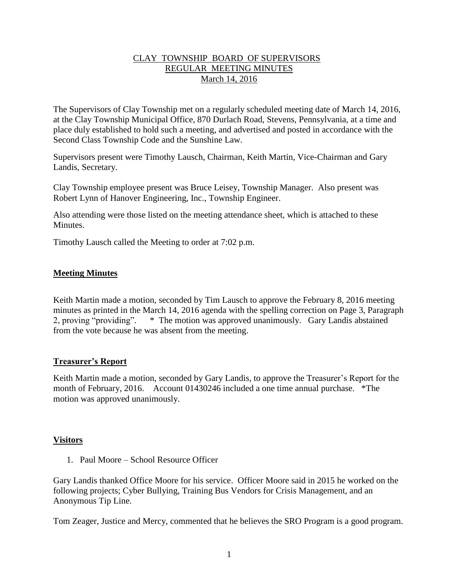## CLAY TOWNSHIP BOARD OF SUPERVISORS REGULAR MEETING MINUTES March 14, 2016

The Supervisors of Clay Township met on a regularly scheduled meeting date of March 14, 2016, at the Clay Township Municipal Office, 870 Durlach Road, Stevens, Pennsylvania, at a time and place duly established to hold such a meeting, and advertised and posted in accordance with the Second Class Township Code and the Sunshine Law.

Supervisors present were Timothy Lausch, Chairman, Keith Martin, Vice-Chairman and Gary Landis, Secretary.

Clay Township employee present was Bruce Leisey, Township Manager. Also present was Robert Lynn of Hanover Engineering, Inc., Township Engineer.

Also attending were those listed on the meeting attendance sheet, which is attached to these Minutes.

Timothy Lausch called the Meeting to order at 7:02 p.m.

## **Meeting Minutes**

Keith Martin made a motion, seconded by Tim Lausch to approve the February 8, 2016 meeting minutes as printed in the March 14, 2016 agenda with the spelling correction on Page 3, Paragraph 2, proving "providing". \* The motion was approved unanimously. Gary Landis abstained from the vote because he was absent from the meeting.

### **Treasurer's Report**

Keith Martin made a motion, seconded by Gary Landis, to approve the Treasurer's Report for the month of February, 2016. Account 01430246 included a one time annual purchase. \*The motion was approved unanimously.

## **Visitors**

1. Paul Moore – School Resource Officer

Gary Landis thanked Office Moore for his service. Officer Moore said in 2015 he worked on the following projects; Cyber Bullying, Training Bus Vendors for Crisis Management, and an Anonymous Tip Line.

Tom Zeager, Justice and Mercy, commented that he believes the SRO Program is a good program.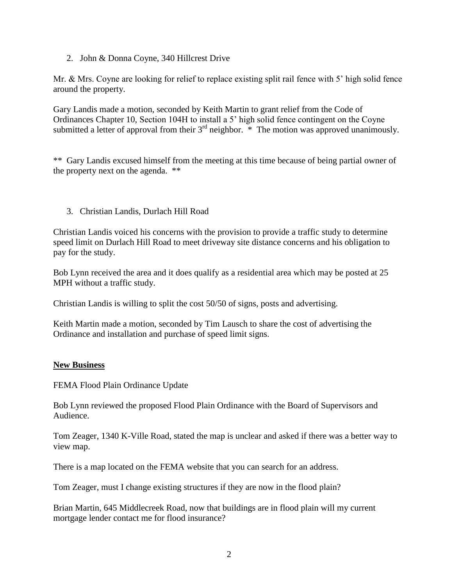2. John & Donna Coyne, 340 Hillcrest Drive

Mr. & Mrs. Coyne are looking for relief to replace existing split rail fence with 5' high solid fence around the property.

Gary Landis made a motion, seconded by Keith Martin to grant relief from the Code of Ordinances Chapter 10, Section 104H to install a 5' high solid fence contingent on the Coyne submitted a letter of approval from their  $3<sup>rd</sup>$  neighbor.  $*$  The motion was approved unanimously.

\*\* Gary Landis excused himself from the meeting at this time because of being partial owner of the property next on the agenda. \*\*

3. Christian Landis, Durlach Hill Road

Christian Landis voiced his concerns with the provision to provide a traffic study to determine speed limit on Durlach Hill Road to meet driveway site distance concerns and his obligation to pay for the study.

Bob Lynn received the area and it does qualify as a residential area which may be posted at 25 MPH without a traffic study.

Christian Landis is willing to split the cost 50/50 of signs, posts and advertising.

Keith Martin made a motion, seconded by Tim Lausch to share the cost of advertising the Ordinance and installation and purchase of speed limit signs.

### **New Business**

FEMA Flood Plain Ordinance Update

Bob Lynn reviewed the proposed Flood Plain Ordinance with the Board of Supervisors and Audience.

Tom Zeager, 1340 K-Ville Road, stated the map is unclear and asked if there was a better way to view map.

There is a map located on the FEMA website that you can search for an address.

Tom Zeager, must I change existing structures if they are now in the flood plain?

Brian Martin, 645 Middlecreek Road, now that buildings are in flood plain will my current mortgage lender contact me for flood insurance?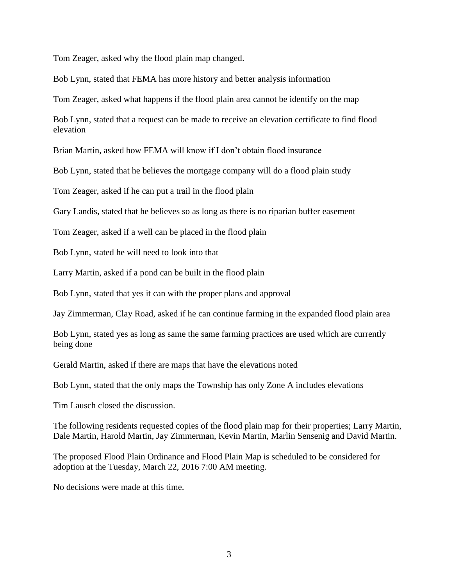Tom Zeager, asked why the flood plain map changed.

Bob Lynn, stated that FEMA has more history and better analysis information

Tom Zeager, asked what happens if the flood plain area cannot be identify on the map

Bob Lynn, stated that a request can be made to receive an elevation certificate to find flood elevation

Brian Martin, asked how FEMA will know if I don't obtain flood insurance

Bob Lynn, stated that he believes the mortgage company will do a flood plain study

Tom Zeager, asked if he can put a trail in the flood plain

Gary Landis, stated that he believes so as long as there is no riparian buffer easement

Tom Zeager, asked if a well can be placed in the flood plain

Bob Lynn, stated he will need to look into that

Larry Martin, asked if a pond can be built in the flood plain

Bob Lynn, stated that yes it can with the proper plans and approval

Jay Zimmerman, Clay Road, asked if he can continue farming in the expanded flood plain area

Bob Lynn, stated yes as long as same the same farming practices are used which are currently being done

Gerald Martin, asked if there are maps that have the elevations noted

Bob Lynn, stated that the only maps the Township has only Zone A includes elevations

Tim Lausch closed the discussion.

The following residents requested copies of the flood plain map for their properties; Larry Martin, Dale Martin, Harold Martin, Jay Zimmerman, Kevin Martin, Marlin Sensenig and David Martin.

The proposed Flood Plain Ordinance and Flood Plain Map is scheduled to be considered for adoption at the Tuesday, March 22, 2016 7:00 AM meeting.

No decisions were made at this time.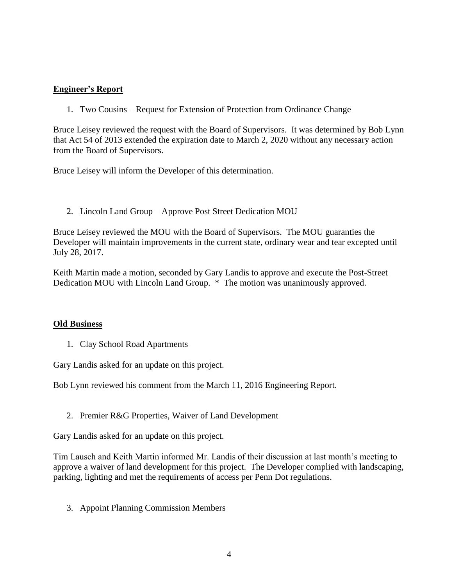## **Engineer's Report**

1. Two Cousins – Request for Extension of Protection from Ordinance Change

Bruce Leisey reviewed the request with the Board of Supervisors. It was determined by Bob Lynn that Act 54 of 2013 extended the expiration date to March 2, 2020 without any necessary action from the Board of Supervisors.

Bruce Leisey will inform the Developer of this determination.

2. Lincoln Land Group – Approve Post Street Dedication MOU

Bruce Leisey reviewed the MOU with the Board of Supervisors. The MOU guaranties the Developer will maintain improvements in the current state, ordinary wear and tear excepted until July 28, 2017.

Keith Martin made a motion, seconded by Gary Landis to approve and execute the Post-Street Dedication MOU with Lincoln Land Group. \* The motion was unanimously approved.

### **Old Business**

1. Clay School Road Apartments

Gary Landis asked for an update on this project.

Bob Lynn reviewed his comment from the March 11, 2016 Engineering Report.

2. Premier R&G Properties, Waiver of Land Development

Gary Landis asked for an update on this project.

Tim Lausch and Keith Martin informed Mr. Landis of their discussion at last month's meeting to approve a waiver of land development for this project. The Developer complied with landscaping, parking, lighting and met the requirements of access per Penn Dot regulations.

3. Appoint Planning Commission Members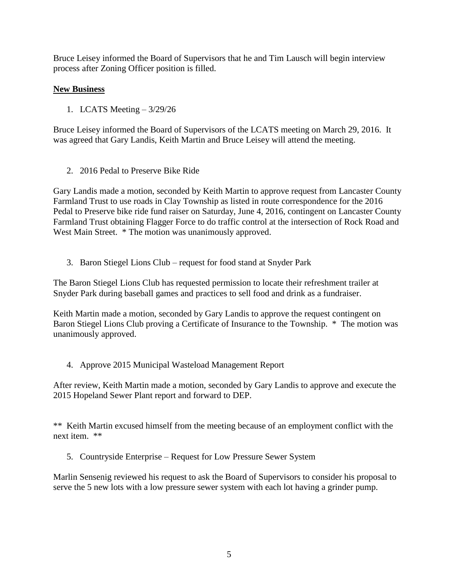Bruce Leisey informed the Board of Supervisors that he and Tim Lausch will begin interview process after Zoning Officer position is filled.

# **New Business**

1. LCATS Meeting – 3/29/26

Bruce Leisey informed the Board of Supervisors of the LCATS meeting on March 29, 2016. It was agreed that Gary Landis, Keith Martin and Bruce Leisey will attend the meeting.

2. 2016 Pedal to Preserve Bike Ride

Gary Landis made a motion, seconded by Keith Martin to approve request from Lancaster County Farmland Trust to use roads in Clay Township as listed in route correspondence for the 2016 Pedal to Preserve bike ride fund raiser on Saturday, June 4, 2016, contingent on Lancaster County Farmland Trust obtaining Flagger Force to do traffic control at the intersection of Rock Road and West Main Street.  $*$  The motion was unanimously approved.

3. Baron Stiegel Lions Club – request for food stand at Snyder Park

The Baron Stiegel Lions Club has requested permission to locate their refreshment trailer at Snyder Park during baseball games and practices to sell food and drink as a fundraiser.

Keith Martin made a motion, seconded by Gary Landis to approve the request contingent on Baron Stiegel Lions Club proving a Certificate of Insurance to the Township. \* The motion was unanimously approved.

4. Approve 2015 Municipal Wasteload Management Report

After review, Keith Martin made a motion, seconded by Gary Landis to approve and execute the 2015 Hopeland Sewer Plant report and forward to DEP.

\*\* Keith Martin excused himself from the meeting because of an employment conflict with the next item. \*\*

5. Countryside Enterprise – Request for Low Pressure Sewer System

Marlin Sensenig reviewed his request to ask the Board of Supervisors to consider his proposal to serve the 5 new lots with a low pressure sewer system with each lot having a grinder pump.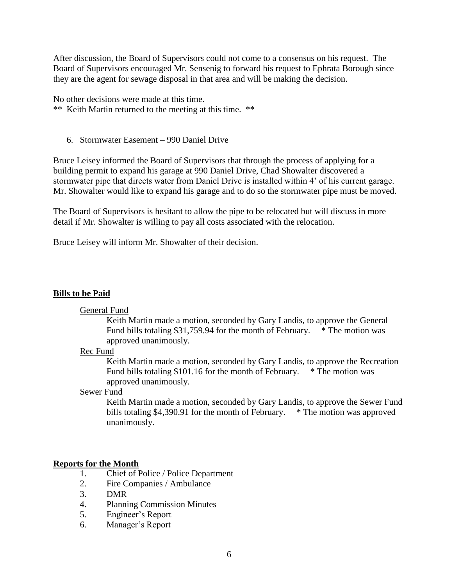After discussion, the Board of Supervisors could not come to a consensus on his request. The Board of Supervisors encouraged Mr. Sensenig to forward his request to Ephrata Borough since they are the agent for sewage disposal in that area and will be making the decision.

No other decisions were made at this time.

\*\* Keith Martin returned to the meeting at this time. \*\*

6. Stormwater Easement – 990 Daniel Drive

Bruce Leisey informed the Board of Supervisors that through the process of applying for a building permit to expand his garage at 990 Daniel Drive, Chad Showalter discovered a stormwater pipe that directs water from Daniel Drive is installed within 4' of his current garage. Mr. Showalter would like to expand his garage and to do so the stormwater pipe must be moved.

The Board of Supervisors is hesitant to allow the pipe to be relocated but will discuss in more detail if Mr. Showalter is willing to pay all costs associated with the relocation.

Bruce Leisey will inform Mr. Showalter of their decision.

### **Bills to be Paid**

### General Fund

Keith Martin made a motion, seconded by Gary Landis, to approve the General Fund bills totaling \$31,759.94 for the month of February.  $*$  The motion was approved unanimously.

### Rec Fund

Keith Martin made a motion, seconded by Gary Landis, to approve the Recreation Fund bills totaling \$101.16 for the month of February. \* The motion was approved unanimously.

#### Sewer Fund

Keith Martin made a motion, seconded by Gary Landis, to approve the Sewer Fund bills totaling \$4,390.91 for the month of February.  $*$  The motion was approved unanimously.

### **Reports for the Month**

- 1. Chief of Police / Police Department
- 2. Fire Companies / Ambulance
- 3. DMR
- 4. Planning Commission Minutes
- 5. Engineer's Report
- 6. Manager's Report